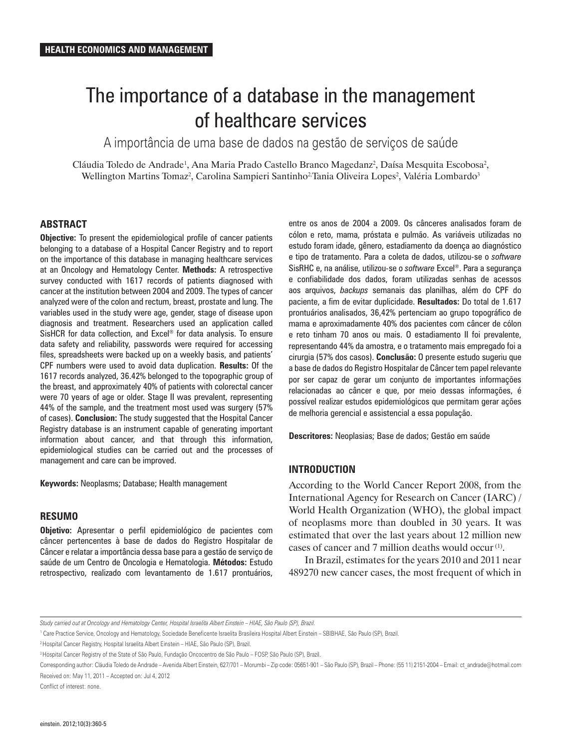# The importance of a database in the management of healthcare services

A importância de uma base de dados na gestão de serviços de saúde

Cláudia Toledo de Andrade<sup>1</sup>, Ana Maria Prado Castello Branco Magedanz<sup>2</sup>, Daísa Mesquita Escobosa<sup>2</sup>, Wellington Martins Tomaz<sup>2</sup>, Carolina Sampieri Santinho<sup>2</sup>Tania Oliveira Lopes<sup>2</sup>, Valéria Lombardo<sup>3</sup>

## **ABSTRACT**

**Objective:** To present the epidemiological profile of cancer patients belonging to a database of a Hospital Cancer Registry and to report on the importance of this database in managing healthcare services at an Oncology and Hematology Center. **Methods:** A retrospective survey conducted with 1617 records of patients diagnosed with cancer at the institution between 2004 and 2009. The types of cancer analyzed were of the colon and rectum, breast, prostate and lung. The variables used in the study were age, gender, stage of disease upon diagnosis and treatment. Researchers used an application called SisHCR for data collection, and Excel® for data analysis. To ensure data safety and reliability, passwords were required for accessing files, spreadsheets were backed up on a weekly basis, and patients' CPF numbers were used to avoid data duplication. **Results:** Of the 1617 records analyzed, 36.42% belonged to the topographic group of the breast, and approximately 40% of patients with colorectal cancer were 70 years of age or older. Stage II was prevalent, representing 44% of the sample, and the treatment most used was surgery (57% of cases). **Conclusion:** The study suggested that the Hospital Cancer Registry database is an instrument capable of generating important information about cancer, and that through this information, epidemiological studies can be carried out and the processes of management and care can be improved.

**Keywords:** Neoplasms; Database; Health management

## **RESUMO**

**Objetivo:** Apresentar o perfil epidemiológico de pacientes com câncer pertencentes à base de dados do Registro Hospitalar de Câncer e relatar a importância dessa base para a gestão de serviço de saúde de um Centro de Oncologia e Hematologia. **Métodos:** Estudo retrospectivo, realizado com levantamento de 1.617 prontuários, entre os anos de 2004 a 2009. Os cânceres analisados foram de cólon e reto, mama, próstata e pulmão. As variáveis utilizadas no estudo foram idade, gênero, estadiamento da doença ao diagnóstico e tipo de tratamento. Para a coleta de dados, utilizou-se o *software* SisRHC e, na análise, utilizou-se o *software* Excel®. Para a segurança e confiabilidade dos dados, foram utilizadas senhas de acessos aos arquivos, *backups* semanais das planilhas, além do CPF do paciente, a fim de evitar duplicidade. **Resultados:** Do total de 1.617 prontuários analisados, 36,42% pertenciam ao grupo topográfico de mama e aproximadamente 40% dos pacientes com câncer de cólon e reto tinham 70 anos ou mais. O estadiamento II foi prevalente, representando 44% da amostra, e o tratamento mais empregado foi a cirurgia (57% dos casos). **Conclusão:** O presente estudo sugeriu que a base de dados do Registro Hospitalar de Câncer tem papel relevante por ser capaz de gerar um conjunto de importantes informações relacionadas ao câncer e que, por meio dessas informações, é possível realizar estudos epidemiológicos que permitam gerar ações de melhoria gerencial e assistencial a essa população.

**Descritores:** Neoplasias; Base de dados; Gestão em saúde

## **INTRODUCTION**

According to the World Cancer Report 2008, from the International Agency for Research on Cancer (IARC) / World Health Organization (WHO), the global impact of neoplasms more than doubled in 30 years. It was estimated that over the last years about 12 million new cases of cancer and 7 million deaths would occur (1).

In Brazil, estimates for the years 2010 and 2011 near 489270 new cancer cases, the most frequent of which in

2 Hospital Cancer Registry, Hospital Israelita Albert Einstein – HIAE, São Paulo (SP), Brazil.

Conflict of interest: none.

*Study carried out at Oncology and Hematology Center, Hospital Israelita Albert Einstein – HIAE, São Paulo (SP), Brazil.*

<sup>1</sup> Care Practice Service, Oncology and Hematology, Sociedade Beneficente Israelita Brasileira Hospital Albert Einstein – SBIBHAE, São Paulo (SP), Brazil.

<sup>&</sup>lt;sup>3</sup> Hospital Cancer Registry of the State of São Paulo, Fundação Oncocentro de São Paulo – FOSP, São Paulo (SP), Brazil.

Corresponding author: Cláudia Toledo de Andrade – Avenida Albert Einstein, 627/701 – Morumbi – Zip code: 05651-901 – São Paulo (SP), Brazil – Phone: (55 11) 2151-2004 – Email: ct\_andrade@hotmail.com Received on: May 11, 2011 – Accepted on: Jul 4, 2012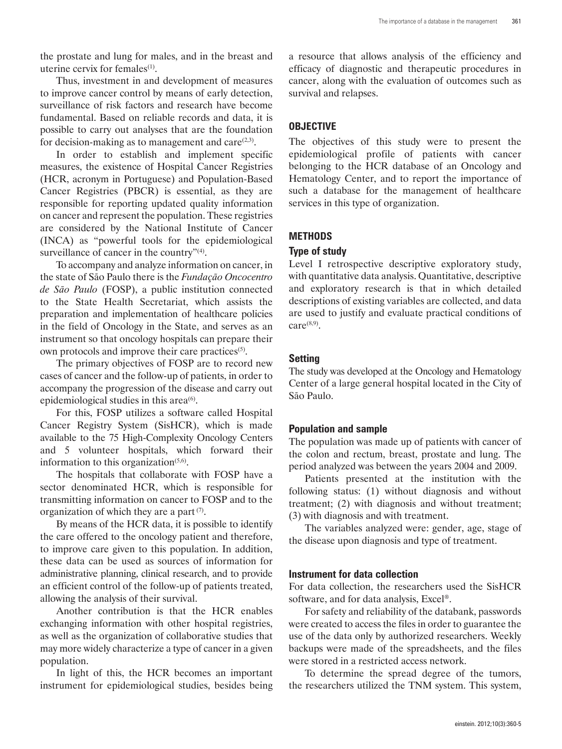the prostate and lung for males, and in the breast and uterine cervix for females<sup>(1)</sup>.

Thus, investment in and development of measures to improve cancer control by means of early detection, surveillance of risk factors and research have become fundamental. Based on reliable records and data, it is possible to carry out analyses that are the foundation for decision-making as to management and care $(2,3)$ .

In order to establish and implement specific measures, the existence of Hospital Cancer Registries (HCR, acronym in Portuguese) and Population-Based Cancer Registries (PBCR) is essential, as they are responsible for reporting updated quality information on cancer and represent the population. These registries are considered by the National Institute of Cancer (INCA) as "powerful tools for the epidemiological surveillance of cancer in the country"<sup>(4)</sup>.

To accompany and analyze information on cancer, in the state of São Paulo there is the *Fundação Oncocentro de São Paulo* (FOSP), a public institution connected to the State Health Secretariat, which assists the preparation and implementation of healthcare policies in the field of Oncology in the State, and serves as an instrument so that oncology hospitals can prepare their own protocols and improve their care practices<sup>(5)</sup>.

The primary objectives of FOSP are to record new cases of cancer and the follow-up of patients, in order to accompany the progression of the disease and carry out epidemiological studies in this area $<sup>(6)</sup>$ .</sup>

For this, FOSP utilizes a software called Hospital Cancer Registry System (SisHCR), which is made available to the 75 High-Complexity Oncology Centers and 5 volunteer hospitals, which forward their information to this organization $(5,6)$ .

The hospitals that collaborate with FOSP have a sector denominated HCR, which is responsible for transmitting information on cancer to FOSP and to the organization of which they are a part  $(7)$ .

By means of the HCR data, it is possible to identify the care offered to the oncology patient and therefore, to improve care given to this population. In addition, these data can be used as sources of information for administrative planning, clinical research, and to provide an efficient control of the follow-up of patients treated, allowing the analysis of their survival.

Another contribution is that the HCR enables exchanging information with other hospital registries, as well as the organization of collaborative studies that may more widely characterize a type of cancer in a given population.

In light of this, the HCR becomes an important instrument for epidemiological studies, besides being a resource that allows analysis of the efficiency and efficacy of diagnostic and therapeutic procedures in cancer, along with the evaluation of outcomes such as survival and relapses.

# **OBJECTIVE**

The objectives of this study were to present the epidemiological profile of patients with cancer belonging to the HCR database of an Oncology and Hematology Center, and to report the importance of such a database for the management of healthcare services in this type of organization.

# **METHODS**

## **Type of study**

Level I retrospective descriptive exploratory study, with quantitative data analysis. Quantitative, descriptive and exploratory research is that in which detailed descriptions of existing variables are collected, and data are used to justify and evaluate practical conditions of care $^{(8,9)}$ .

## **Setting**

The study was developed at the Oncology and Hematology Center of a large general hospital located in the City of São Paulo.

## **Population and sample**

The population was made up of patients with cancer of the colon and rectum, breast, prostate and lung. The period analyzed was between the years 2004 and 2009.

Patients presented at the institution with the following status: (1) without diagnosis and without treatment; (2) with diagnosis and without treatment; (3) with diagnosis and with treatment.

The variables analyzed were: gender, age, stage of the disease upon diagnosis and type of treatment.

## **Instrument for data collection**

For data collection, the researchers used the SisHCR software, and for data analysis, Excel®.

For safety and reliability of the databank, passwords were created to access the files in order to guarantee the use of the data only by authorized researchers. Weekly backups were made of the spreadsheets, and the files were stored in a restricted access network.

To determine the spread degree of the tumors, the researchers utilized the TNM system. This system,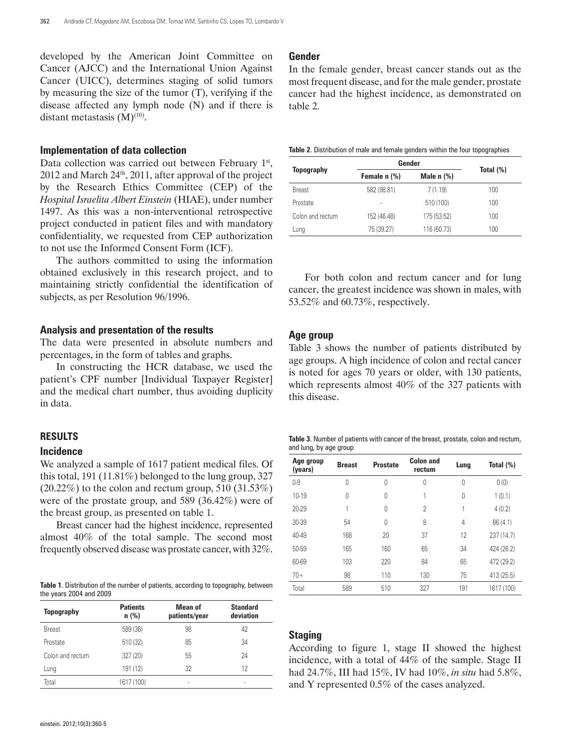developed by the American Joint Committee on Cancer (AJCC) and the International Union Against Cancer (UICC), determines staging of solid tumors by measuring the size of the tumor (T), verifying if the disease affected any lymph node (N) and if there is distant metastasis  $(M)^{(10)}$ .

## **Implementation of data collection**

Data collection was carried out between February 1st, 2012 and March 24th, 2011, after approval of the project by the Research Ethics Committee (CEP) of the *Hospital Israelita Albert Einstein* (HIAE), under number 1497. As this was a non-interventional retrospective project conducted in patient files and with mandatory confidentiality, we requested from CEP authorization to not use the Informed Consent Form (ICF).

The authors committed to using the information obtained exclusively in this research project, and to maintaining strictly confidential the identification of subjects, as per Resolution 96/1996.

#### **Analysis and presentation of the results**

The data were presented in absolute numbers and percentages, in the form of tables and graphs.

In constructing the HCR database, we used the patient's CPF number [Individual Taxpayer Register] and the medical chart number, thus avoiding duplicity in data.

#### **RESULTS**

#### **Incidence**

We analyzed a sample of 1617 patient medical files. Of this total, 191 (11.81%) belonged to the lung group, 327  $(20.22\%)$  to the colon and rectum group, 510  $(31.53\%)$ were of the prostate group, and 589 (36.42%) were of the breast group, as presented on table 1.

Breast cancer had the highest incidence, represented almost 40% of the total sample. The second most frequently observed disease was prostate cancer, with 32%.

**Table 1**. Distribution of the number of patients, according to topography, between the years 2004 and 2009

| <b>Topography</b> | <b>Patients</b><br>$n$ (%) | Mean of<br>patients/year | <b>Standard</b><br>deviation |
|-------------------|----------------------------|--------------------------|------------------------------|
| <b>Breast</b>     | 589 (36)                   | 98                       | 42                           |
| Prostate          | 510 (32)                   | 85                       | 34                           |
| Colon and rectum  | 327 (20)                   | 55                       | 24                           |
| Lung              | 191 (12)                   | 32                       | 12                           |
| Total             | 1617 (100)                 | ٠                        | ٠                            |

In the female gender, breast cancer stands out as the most frequent disease, and for the male gender, prostate cancer had the highest incidence, as demonstrated on table 2.

**Table 2**. Distribution of male and female genders within the four topographies

|                   | Gender       |              |              |
|-------------------|--------------|--------------|--------------|
| <b>Topography</b> | Female n (%) | Male $n$ $%$ | Total $(\%)$ |
| <b>Breast</b>     | 582 (98.81)  | 7(1.19)      | 100          |
| Prostate          | ٠            | 510 (100)    | 100          |
| Colon and rectum  | 152 (46.48)  | 175 (53.52)  | 100          |
| Lung              | 75 (39.27)   | 116 (60.73)  | 100          |

For both colon and rectum cancer and for lung cancer, the greatest incidence was shown in males, with 53.52% and 60.73%, respectively.

## **Age group**

Table 3 shows the number of patients distributed by age groups. A high incidence of colon and rectal cancer is noted for ages 70 years or older, with 130 patients, which represents almost 40% of the 327 patients with this disease.

|                        | Table 3. Number of patients with cancer of the breast, prostate, colon and rectum, |  |  |  |
|------------------------|------------------------------------------------------------------------------------|--|--|--|
| and lung, by age group |                                                                                    |  |  |  |

| Age group<br>(years) | <b>Breast</b> | <b>Prostate</b> | <b>Colon and</b><br>rectum | Lung | Total (%)  |
|----------------------|---------------|-----------------|----------------------------|------|------------|
| $0 - 9$              | 0             | 0               | 0                          | 0    | 0(0)       |
| 10-19                | 0             | 0               | 1                          | 0    | 1(0.1)     |
| 20-29                | 1             | 0               | $\overline{2}$             | 1    | 4(0.2)     |
| 30-39                | 54            | $\Omega$        | 8                          | 4    | 66 (4.1)   |
| 40-49                | 168           | 20              | 37                         | 12   | 237 (14.7) |
| 50-59                | 165           | 160             | 65                         | 34   | 424 (26.2) |
| 60-69                | 103           | 220             | 84                         | 65   | 472 (29.2) |
| $70+$                | 98            | 110             | 130                        | 75   | 413 (25.5) |
| Total                | 589           | 510             | 327                        | 191  | 1617 (100) |

#### **Staging**

According to figure 1, stage II showed the highest incidence, with a total of 44% of the sample. Stage II had 24.7%, III had 15%, IV had 10%, *in situ* had 5.8%, and Y represented 0.5% of the cases analyzed.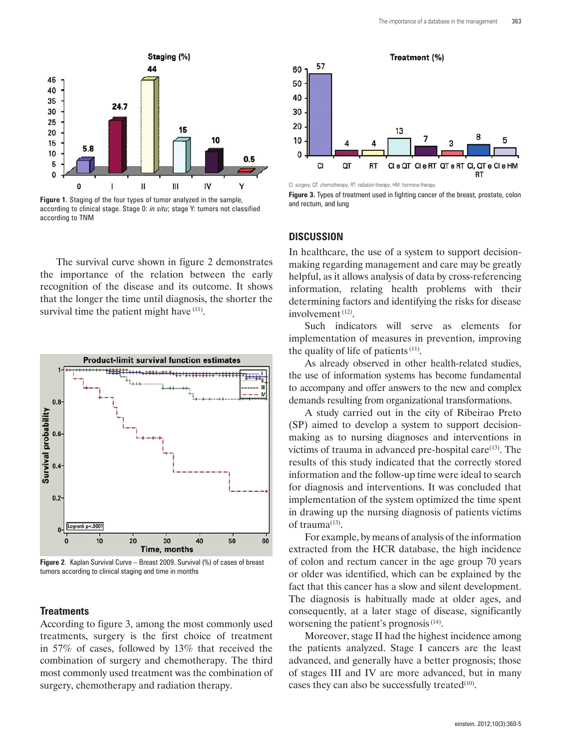

**Figure 1**. Staging of the four types of tumor analyzed in the sample, according to clinical stage. Stage 0: *in situ*; stage Y: tumors not classified according to TNM

The survival curve shown in figure 2 demonstrates the importance of the relation between the early recognition of the disease and its outcome. It shows that the longer the time until diagnosis, the shorter the survival time the patient might have  $(11)$ .



**Figure 2**. Kaplan Survival Curve – Breast 2009. Survival (%) of cases of breast tumors according to clinical staging and time in months

#### **Treatments**

According to figure 3, among the most commonly used treatments, surgery is the first choice of treatment in 57% of cases, followed by 13% that received the combination of surgery and chemotherapy. The third most commonly used treatment was the combination of surgery, chemotherapy and radiation therapy.



CI: surgery; QT: chemotherapy; RT: radiation therapy; HM: hormone therapy.

**Figure 3.** Types of treatment used in fighting cancer of the breast, prostate, colon and rectum, and lung

#### **DISCUSSION**

In healthcare, the use of a system to support decisionmaking regarding management and care may be greatly helpful, as it allows analysis of data by cross-referencing information, relating health problems with their determining factors and identifying the risks for disease involvement (12).

Such indicators will serve as elements for implementation of measures in prevention, improving the quality of life of patients  $(11)$ .

As already observed in other health-related studies, the use of information systems has become fundamental to accompany and offer answers to the new and complex demands resulting from organizational transformations.

A study carried out in the city of Ribeirao Preto (SP) aimed to develop a system to support decisionmaking as to nursing diagnoses and interventions in victims of trauma in advanced pre-hospital care $(13)$ . The results of this study indicated that the correctly stored information and the follow-up time were ideal to search for diagnosis and interventions. It was concluded that implementation of the system optimized the time spent in drawing up the nursing diagnosis of patients victims of trauma $(13)$ .

For example, by means of analysis of the information extracted from the HCR database, the high incidence of colon and rectum cancer in the age group 70 years or older was identified, which can be explained by the fact that this cancer has a slow and silent development. The diagnosis is habitually made at older ages, and consequently, at a later stage of disease, significantly worsening the patient's prognosis (14).

Moreover, stage II had the highest incidence among the patients analyzed. Stage I cancers are the least advanced, and generally have a better prognosis; those of stages III and IV are more advanced, but in many cases they can also be successfully treated $(10)$ .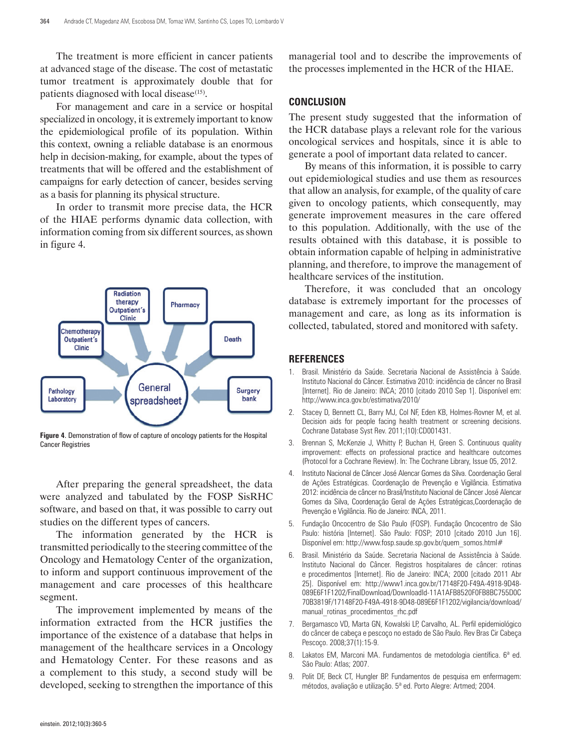The treatment is more efficient in cancer patients at advanced stage of the disease. The cost of metastatic tumor treatment is approximately double that for patients diagnosed with local disease<sup>(15)</sup>.

For management and care in a service or hospital specialized in oncology, it is extremely important to know the epidemiological profile of its population. Within this context, owning a reliable database is an enormous help in decision-making, for example, about the types of treatments that will be offered and the establishment of campaigns for early detection of cancer, besides serving as a basis for planning its physical structure.

In order to transmit more precise data, the HCR of the HIAE performs dynamic data collection, with information coming from six different sources, as shown in figure 4.



**Figure 4**. Demonstration of flow of capture of oncology patients for the Hospital Cancer Registries

After preparing the general spreadsheet, the data were analyzed and tabulated by the FOSP SisRHC software, and based on that, it was possible to carry out studies on the different types of cancers.

The information generated by the HCR is transmitted periodically to the steering committee of the Oncology and Hematology Center of the organization, to inform and support continuous improvement of the management and care processes of this healthcare segment.

The improvement implemented by means of the information extracted from the HCR justifies the importance of the existence of a database that helps in management of the healthcare services in a Oncology and Hematology Center. For these reasons and as a complement to this study, a second study will be developed, seeking to strengthen the importance of this

managerial tool and to describe the improvements of the processes implemented in the HCR of the HIAE.

#### **CONCLUSION**

The present study suggested that the information of the HCR database plays a relevant role for the various oncological services and hospitals, since it is able to generate a pool of important data related to cancer.

By means of this information, it is possible to carry out epidemiological studies and use them as resources that allow an analysis, for example, of the quality of care given to oncology patients, which consequently, may generate improvement measures in the care offered to this population. Additionally, with the use of the results obtained with this database, it is possible to obtain information capable of helping in administrative planning, and therefore, to improve the management of healthcare services of the institution.

Therefore, it was concluded that an oncology database is extremely important for the processes of management and care, as long as its information is collected, tabulated, stored and monitored with safety.

#### **REFERENCES**

- 1. Brasil. Ministério da Saúde. Secretaria Nacional de Assistência à Saúde. Instituto Nacional do Câncer. Estimativa 2010: incidência de câncer no Brasil [Internet]. Rio de Janeiro: INCA; 2010 [citado 2010 Sep 1]. Disponível em: http://www.inca.gov.br/estimativa/2010/
- 2. Stacey D, Bennett CL, Barry MJ, Col NF, Eden KB, Holmes-Rovner M, et al. Decision aids for people facing health treatment or screening decisions. Cochrane Database Syst Rev. 2011;(10):CD001431.
- 3. Brennan S, McKenzie J, Whitty P, Buchan H, Green S. Continuous quality improvement: effects on professional practice and healthcare outcomes (Protocol for a Cochrane Review). In: The Cochrane Library, Issue 05, 2012.
- 4. Instituto Nacional de Câncer José Alencar Gomes da Silva. Coordenação Geral de Ações Estratégicas. Coordenação de Prevenção e Vigilância. Estimativa 2012: incidência de câncer no Brasil/Instituto Nacional de Câncer José Alencar Gomes da Silva, Coordenação Geral de Ações Estratégicas,Coordenação de Prevenção e Vigilância. Rio de Janeiro: INCA, 2011.
- 5. Fundação Oncocentro de São Paulo (FOSP). Fundação Oncocentro de São Paulo: história [Internet]. São Paulo: FOSP; 2010 [citado 2010 Jun 16]. Disponível em: http://www.fosp.saude.sp.gov.br/quem\_somos.html#
- 6. Brasil. Ministério da Saúde. Secretaria Nacional de Assistência à Saúde. Instituto Nacional do Câncer. Registros hospitalares de câncer: rotinas e procedimentos [Internet]. Rio de Janeiro: INCA; 2000 [citado 2011 Abr 25]. Disponível em: http://www1.inca.gov.br/17148F20-F49A-4918-9D48- 089E6F1F1202/FinalDownload/DownloadId-11A1AFB8520F0FB8BC755D0C 70B3819F/17148F20-F49A-4918-9D48-089E6F1F1202/vigilancia/download/ manual rotinas procedimentos rhc.pdf
- 7. Bergamasco VD, Marta GN, Kowalski LP, Carvalho, AL. Perfil epidemiológico do câncer de cabeça e pescoço no estado de São Paulo. Rev Bras Cir Cabeça Pescoço. 2008;37(1):15-9.
- 8. Lakatos EM, Marconi MA. Fundamentos de metodologia científica. 6ª ed. São Paulo: Atlas; 2007.
- 9. Polit DF, Beck CT, Hungler BP. Fundamentos de pesquisa em enfermagem: métodos, avaliação e utilização. 5ª ed. Porto Alegre: Artmed; 2004.